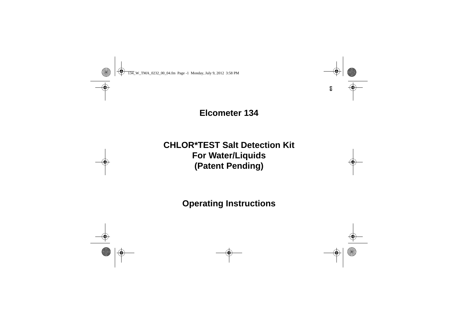# **Elcometer 134**

# **CHLOR\*TEST Salt Detection KitFor Water/Liquids (Patent Pending)**

**Operating Instructions**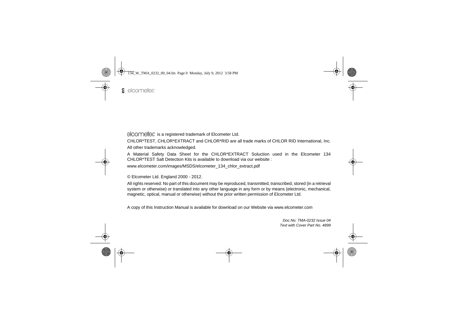elcometer is a registered trademark of Elcometer Ltd.

CHLOR\*TEST, CHLOR\*EXTRACT and CHLOR\*RID are all trade marks of CHLOR RID International, Inc. All other trademarks acknowledged.

A Material Safety Data Sheet for the CHLOR\*EXTRACT Soluction used in the Elcometer 134 CHLOR\*TEST Salt Detection Kits is available to download via our website :

www.elcometer.com/images/MSDS/elcometer\_134\_chlor\_extract.pdf

© Elcometer Ltd. England 2000 - 2012.

All rights reserved. No part of this document may be reproduced, transmitted, transcribed, stored (in a retrieval system or otherwise) or translated into any other language in any form or by means (electronic, mechanical, magnetic, optical, manual or otherwise) without the prior written permission of Elcometer Ltd.

A copy of this Instruction Manual is available for download on our Website via www.elcometer.com

*Doc.No: TMA-0232 Issue 04Text with Cover Part No. 4899*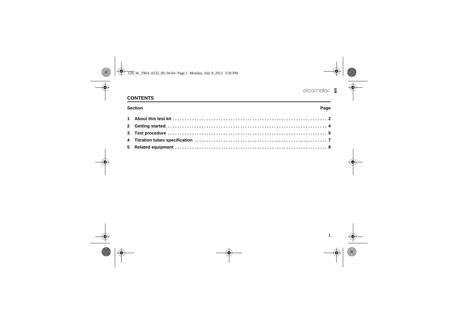# **CONTENTS**

**Section**

#### **n** Base of the Contract of the Contract of the Contract of the Contract of the Contract of the Contract of the Contract of the Contract of the Contract of the Contract of the Contract of the Contract of the Contract of th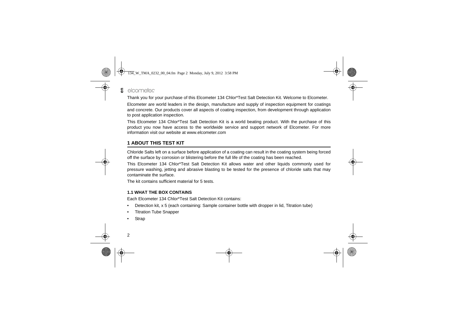#### elcometer **en**

Thank you for your purchase of this Elcometer 134 Chlor\*Test Salt Detection Kit. Welcome to Elcometer.

Elcometer are world leaders in the design, manufacture and supply of inspection equipment for coatings and concrete. Our products cover all aspects of coating inspection, from development through application to post application inspection.

[This Elcometer 134 Chlor\\*Test Salt Detection Kit is a world beating product. With the purchase of this](http://www.elcometer.com) product you now have access to the worldwide service and support network of Elcometer. For more information visit our website at www.elcometer.com

# <span id="page-3-0"></span>**1 ABOUT THIS TEST KIT**

Chloride Salts left on a surface before application of a coating can result in the coating system being forced off the surface by corrosion or blistering before the full life of the coating has been reached.

This Elcometer 134 Chlor\*Test Salt Detection Kit allows water and other liquids commonly used for pressure washing, jetting and abrasive blasting to be tested for the presence of chloride salts that may contaminate the surface.

The kit contains sufficient material for 5 tests.

### **1.1 WHAT THE BOX CONTAINS**

Each Elcometer 134 Chlor\*Test Salt Detection Kit contains:

- •Detection kit, x 5 (each containing: Sample container bottle with dropper in lid, Titration tube)
- •Titration Tube Snapper
- •**Strap**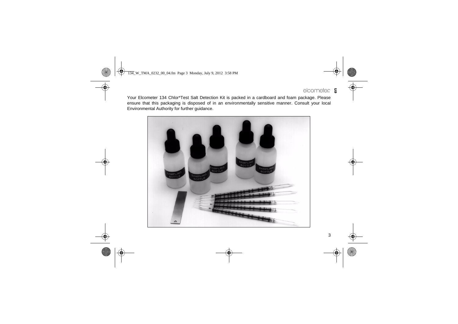# R**en**

Your Elcometer 134 Chlor\*Test Salt Detection Kit is packed in a cardboard and foam package. Please ensure that this packaging is disposed of in an environmentally sensitive manner. Consult your local Environmental Authority for further guidance.

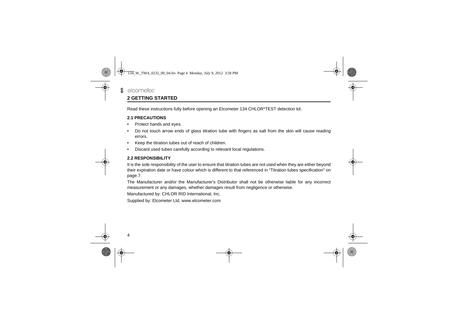### <span id="page-5-0"></span>elcometer **2 GETTING STARTED**

**en**

Read these instructions fully before opening an Elcometer 134 CHLOR\*TEST detection kit.

#### **2.1 PRECAUTIONS**

- •Protect hands and eyes.
- • Do not touch arrow ends of glass titration tube with fingers as salt from the skin will cause reading errors.
- •Keep the titration tubes out of reach of children.
- •Discard used tubes carefully according to relevant local regulations.

#### **2.2 RESPONSIBILITY**

It is the sole responsibility of the user to ensure that titration tubes are not used when they are either beyond their expiration date or have colour which is different to that referenced in ["Titration tubes specification" on](#page-8-0) [page](#page-8-0) 7.

The Manufacturer and/or the Manufacturer's Distributor shall not be otherwise liable for any incorrect measurement or any damages, whether damages result from negligence or otherwise.

Manufactured by: CHLOR RID International, Inc.

[Supplied by: Elcometer Ltd, www.elcometer.com](http://www.elcometer.com)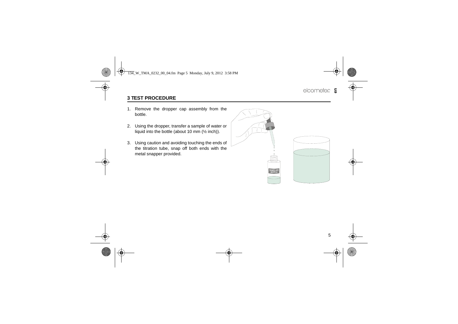### <span id="page-6-0"></span>**3 TEST PROCEDURE**

- 1. Remove the dropper cap assembly from the bottle.
- 2. Using the dropper, transfer a sample of water or liquid into the bottle (about 10 mm (½ inch)).
- 3. Using caution and avoiding touching the ends of the titration tube, snap off both ends with the metal snapper provided.

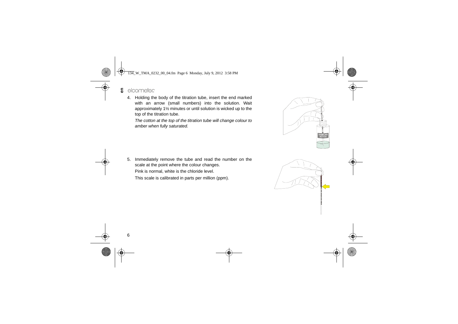- elcometer **en**
	- 4. Holding the body of the titration tube, insert the end marked with an arrow (small numbers) into the solution. Wait approximately 1½ minutes or until solution is wicked up to the top of the titration tube.

*The cotton at the top of the titration tube will change colour to amber when fully saturated.*

5. Immediately remove the tube and read the number on the scale at the point where the colour changes. Pink is normal, white is the chloride level.

This scale is calibrated in parts per million (ppm).



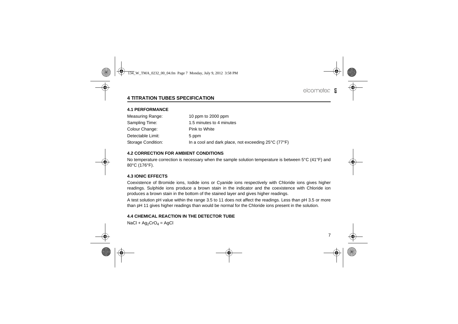# <span id="page-8-0"></span>**4 TITRATION TUBES SPECIFICATION**

#### **4.1 PERFORMANCE**

| Measuring Range:   | 10 ppm to $2000$ ppm                                |  |
|--------------------|-----------------------------------------------------|--|
| Sampling Time:     | 1.5 minutes to 4 minutes                            |  |
| Colour Change:     | Pink to White                                       |  |
| Detectable Limit:  | 5 ppm                                               |  |
| Storage Condition: | In a cool and dark place, not exceeding 25°C (77°F) |  |

#### **4.2 CORRECTION FOR AMBIENT CONDITIONS**

No temperature correction is necessary when the sample solution temperature is between 5°C (41°F) and 80°C (176°F).

#### **4.3 IONIC EFFECTS**

Coexistence of Bromide ions, Iodide ions or Cyanide ions respectively with Chloride ions gives higher readings. Sulphide ions produce a brown stain in the indicator and the coexistence with Chloride ion produces a brown stain in the bottom of the stained layer and gives higher readings.

A test solution pH value within the range 3.5 to 11 does not affect the readings. Less than pH 3.5 or more than pH 11 gives higher readings than would be normal for the Chloride ions present in the solution.

#### **4.4 CHEMICAL REACTION IN THE DETECTOR TUBE**

 $NaCl + Ag<sub>2</sub>CrO<sub>4</sub> = AgCl$